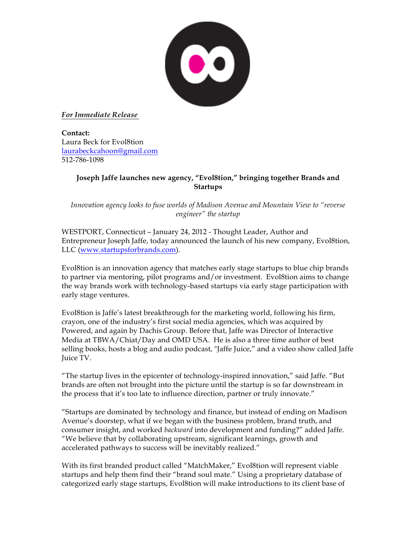00

*For Immediate Release*

**Contact:**  Laura Beck for Evol8tion laurabeckcahoon@gmail.com 512-786-1098

# **Joseph Jaffe launches new agency, "Evol8tion," bringing together Brands and Startups**

*Innovation agency looks to fuse worlds of Madison Avenue and Mountain View to "reverse engineer" the startup*

WESTPORT, Connecticut – January 24, 2012 - Thought Leader, Author and Entrepreneur Joseph Jaffe, today announced the launch of his new company, Evol8tion, LLC (www.startupsforbrands.com).

Evol8tion is an innovation agency that matches early stage startups to blue chip brands to partner via mentoring, pilot programs and/or investment. Evol8tion aims to change the way brands work with technology-based startups via early stage participation with early stage ventures.

Evol8tion is Jaffe's latest breakthrough for the marketing world, following his firm, crayon, one of the industry's first social media agencies, which was acquired by Powered, and again by Dachis Group. Before that, Jaffe was Director of Interactive Media at TBWA/Chiat/Day and OMD USA. He is also a three time author of best selling books, hosts a blog and audio podcast, "Jaffe Juice," and a video show called Jaffe Juice TV.

"The startup lives in the epicenter of technology-inspired innovation," said Jaffe. "But brands are often not brought into the picture until the startup is so far downstream in the process that it's too late to influence direction, partner or truly innovate."

"Startups are dominated by technology and finance, but instead of ending on Madison Avenue's doorstep, what if we began with the business problem, brand truth, and consumer insight, and worked *backward* into development and funding?" added Jaffe. "We believe that by collaborating upstream, significant learnings, growth and accelerated pathways to success will be inevitably realized."

With its first branded product called "MatchMaker," Evol8tion will represent viable startups and help them find their "brand soul mate." Using a proprietary database of categorized early stage startups, Evol8tion will make introductions to its client base of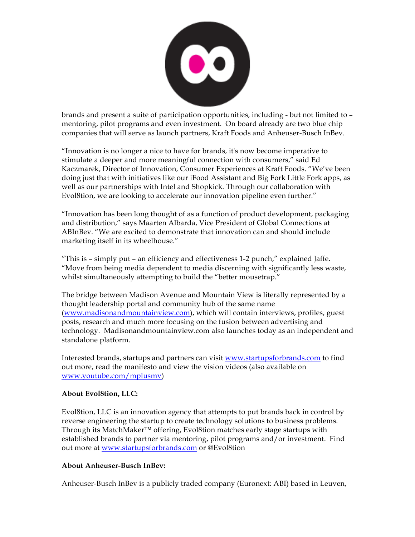

brands and present a suite of participation opportunities, including - but not limited to – mentoring, pilot programs and even investment. On board already are two blue chip companies that will serve as launch partners, Kraft Foods and Anheuser-Busch InBev.

"Innovation is no longer a nice to have for brands, it's now become imperative to stimulate a deeper and more meaningful connection with consumers," said Ed Kaczmarek, Director of Innovation, Consumer Experiences at Kraft Foods. "We've been doing just that with initiatives like our iFood Assistant and Big Fork Little Fork apps, as well as our partnerships with Intel and Shopkick. Through our collaboration with Evol8tion, we are looking to accelerate our innovation pipeline even further."

"Innovation has been long thought of as a function of product development, packaging and distribution," says Maarten Albarda, Vice President of Global Connections at ABInBev. "We are excited to demonstrate that innovation can and should include marketing itself in its wheelhouse."

"This is – simply put – an efficiency and effectiveness 1-2 punch," explained Jaffe. "Move from being media dependent to media discerning with significantly less waste, whilst simultaneously attempting to build the "better mousetrap."

The bridge between Madison Avenue and Mountain View is literally represented by a thought leadership portal and community hub of the same name (www.madisonandmountainview.com), which will contain interviews, profiles, guest posts, research and much more focusing on the fusion between advertising and technology. Madisonandmountainview.com also launches today as an independent and standalone platform.

Interested brands, startups and partners can visit www.startupsforbrands.com to find out more, read the manifesto and view the vision videos (also available on www.youtube.com/mplusmv)

## **About Evol8tion, LLC:**

Evol8tion, LLC is an innovation agency that attempts to put brands back in control by reverse engineering the startup to create technology solutions to business problems. Through its MatchMaker™ offering, Evol8tion matches early stage startups with established brands to partner via mentoring, pilot programs and/or investment. Find out more at www.startupsforbrands.com or @Evol8tion

## **About Anheuser-Busch InBev:**

Anheuser-Busch InBev is a publicly traded company (Euronext: ABI) based in Leuven,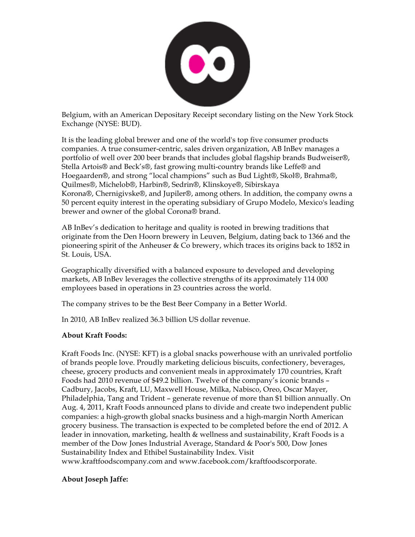

Belgium, with an American Depositary Receipt secondary listing on the New York Stock Exchange (NYSE: BUD).

It is the leading global brewer and one of the world's top five consumer products companies. A true consumer-centric, sales driven organization, AB InBev manages a portfolio of well over 200 beer brands that includes global flagship brands Budweiser®, Stella Artois® and Beck's®, fast growing multi-country brands like Leffe® and Hoegaarden®, and strong "local champions" such as Bud Light®, Skol®, Brahma®, Quilmes®, Michelob®, Harbin®, Sedrin®, Klinskoye®, Sibirskaya Korona®, Chernigivske®, and Jupiler®, among others. In addition, the company owns a 50 percent equity interest in the operating subsidiary of Grupo Modelo, Mexico's leading brewer and owner of the global Corona® brand.

AB InBev's dedication to heritage and quality is rooted in brewing traditions that originate from the Den Hoorn brewery in Leuven, Belgium, dating back to 1366 and the pioneering spirit of the Anheuser & Co brewery, which traces its origins back to 1852 in St. Louis, USA.

Geographically diversified with a balanced exposure to developed and developing markets, AB InBev leverages the collective strengths of its approximately 114 000 employees based in operations in 23 countries across the world.

The company strives to be the Best Beer Company in a Better World.

In 2010, AB InBev realized 36.3 billion US dollar revenue.

## **About Kraft Foods:**

Kraft Foods Inc. (NYSE: KFT) is a global snacks powerhouse with an unrivaled portfolio of brands people love. Proudly marketing delicious biscuits, confectionery, beverages, cheese, grocery products and convenient meals in approximately 170 countries, Kraft Foods had 2010 revenue of \$49.2 billion. Twelve of the company's iconic brands – Cadbury, Jacobs, Kraft, LU, Maxwell House, Milka, Nabisco, Oreo, Oscar Mayer, Philadelphia, Tang and Trident – generate revenue of more than \$1 billion annually. On Aug. 4, 2011, Kraft Foods announced plans to divide and create two independent public companies: a high-growth global snacks business and a high-margin North American grocery business. The transaction is expected to be completed before the end of 2012. A leader in innovation, marketing, health & wellness and sustainability, Kraft Foods is a member of the Dow Jones Industrial Average, Standard & Poor's 500, Dow Jones Sustainability Index and Ethibel Sustainability Index. Visit www.kraftfoodscompany.com and www.facebook.com/kraftfoodscorporate.

## **About Joseph Jaffe:**